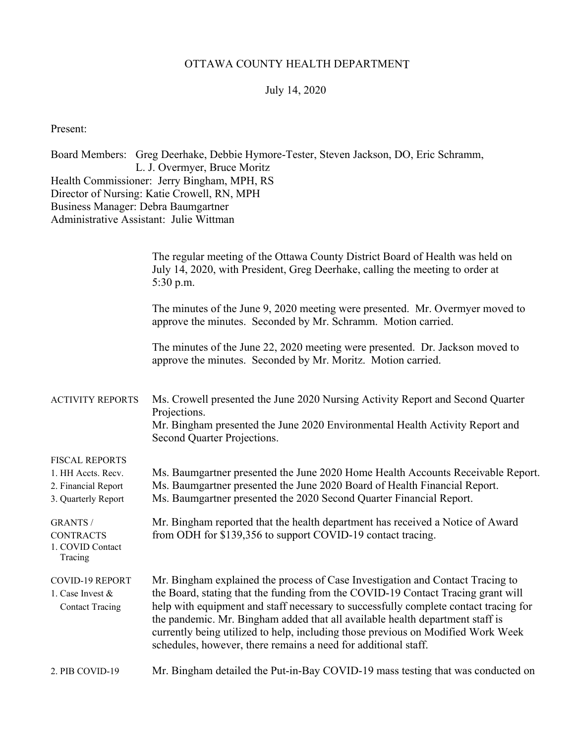### OTTAWA COUNTY HEALTH DEPARTMENT

### July 14, 2020

Present:

Board Members: Greg Deerhake, Debbie Hymore-Tester, Steven Jackson, DO, Eric Schramm, L. J. Overmyer, Bruce Moritz Health Commissioner: Jerry Bingham, MPH, RS Director of Nursing: Katie Crowell, RN, MPH Business Manager: Debra Baumgartner Administrative Assistant: Julie Wittman

|                                                                                           | The regular meeting of the Ottawa County District Board of Health was held on<br>July 14, 2020, with President, Greg Deerhake, calling the meeting to order at<br>5:30 p.m.                                                                                                                                                                                                                                                                                                                       |
|-------------------------------------------------------------------------------------------|---------------------------------------------------------------------------------------------------------------------------------------------------------------------------------------------------------------------------------------------------------------------------------------------------------------------------------------------------------------------------------------------------------------------------------------------------------------------------------------------------|
|                                                                                           | The minutes of the June 9, 2020 meeting were presented. Mr. Overmyer moved to<br>approve the minutes. Seconded by Mr. Schramm. Motion carried.                                                                                                                                                                                                                                                                                                                                                    |
|                                                                                           | The minutes of the June 22, 2020 meeting were presented. Dr. Jackson moved to<br>approve the minutes. Seconded by Mr. Moritz. Motion carried.                                                                                                                                                                                                                                                                                                                                                     |
| <b>ACTIVITY REPORTS</b>                                                                   | Ms. Crowell presented the June 2020 Nursing Activity Report and Second Quarter<br>Projections.<br>Mr. Bingham presented the June 2020 Environmental Health Activity Report and<br>Second Quarter Projections.                                                                                                                                                                                                                                                                                     |
| <b>FISCAL REPORTS</b><br>1. HH Accts. Recv.<br>2. Financial Report<br>3. Quarterly Report | Ms. Baumgartner presented the June 2020 Home Health Accounts Receivable Report.<br>Ms. Baumgartner presented the June 2020 Board of Health Financial Report.<br>Ms. Baumgartner presented the 2020 Second Quarter Financial Report.                                                                                                                                                                                                                                                               |
| <b>GRANTS /</b><br><b>CONTRACTS</b><br>1. COVID Contact<br>Tracing                        | Mr. Bingham reported that the health department has received a Notice of Award<br>from ODH for \$139,356 to support COVID-19 contact tracing.                                                                                                                                                                                                                                                                                                                                                     |
| <b>COVID-19 REPORT</b><br>1. Case Invest &<br><b>Contact Tracing</b>                      | Mr. Bingham explained the process of Case Investigation and Contact Tracing to<br>the Board, stating that the funding from the COVID-19 Contact Tracing grant will<br>help with equipment and staff necessary to successfully complete contact tracing for<br>the pandemic. Mr. Bingham added that all available health department staff is<br>currently being utilized to help, including those previous on Modified Work Week<br>schedules, however, there remains a need for additional staff. |
| 2. PIB COVID-19                                                                           | Mr. Bingham detailed the Put-in-Bay COVID-19 mass testing that was conducted on                                                                                                                                                                                                                                                                                                                                                                                                                   |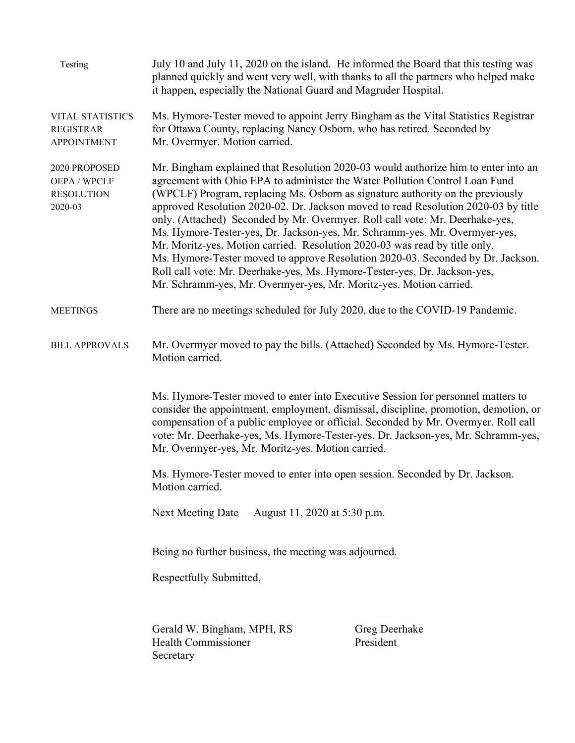| Testing                                                           | July 10 and July 11, 2020 on the island. He informed the Board that this testing was<br>planned quickly and went very well, with thanks to all the partners who helped make<br>it happen, especially the National Guard and Magruder Hospital.                                                                                                                                                                                                                                                                                                                                                                                                                                                                                                                                                                              |                            |  |  |
|-------------------------------------------------------------------|-----------------------------------------------------------------------------------------------------------------------------------------------------------------------------------------------------------------------------------------------------------------------------------------------------------------------------------------------------------------------------------------------------------------------------------------------------------------------------------------------------------------------------------------------------------------------------------------------------------------------------------------------------------------------------------------------------------------------------------------------------------------------------------------------------------------------------|----------------------------|--|--|
| <b>VITAL STATISTICS</b><br><b>REGISTRAR</b><br><b>APPOINTMENT</b> | Ms. Hymore-Tester moved to appoint Jerry Bingham as the Vital Statistics Registrar<br>for Ottawa County, replacing Nancy Osborn, who has retired. Seconded by<br>Mr. Overmyer. Motion carried.                                                                                                                                                                                                                                                                                                                                                                                                                                                                                                                                                                                                                              |                            |  |  |
| 2020 PROPOSED<br>OEPA / WPCLF<br><b>RESOLUTION</b><br>2020-03     | Mr. Bingham explained that Resolution 2020-03 would authorize him to enter into an<br>agreement with Ohio EPA to administer the Water Pollution Control Loan Fund<br>(WPCLF) Program, replacing Ms. Osborn as signature authority on the previously<br>approved Resolution 2020-02. Dr. Jackson moved to read Resolution 2020-03 by title<br>only. (Attached) Seconded by Mr. Overmyer. Roll call vote: Mr. Deerhake-yes,<br>Ms. Hymore-Tester-yes, Dr. Jackson-yes, Mr. Schramm-yes, Mr. Overmyer-yes,<br>Mr. Moritz-yes. Motion carried. Resolution 2020-03 was read by title only.<br>Ms. Hymore-Tester moved to approve Resolution 2020-03. Seconded by Dr. Jackson.<br>Roll call vote: Mr. Deerhake-yes, Ms. Hymore-Tester-yes, Dr. Jackson-yes,<br>Mr. Schramm-yes, Mr. Overmyer-yes, Mr. Moritz-yes. Motion carried. |                            |  |  |
| <b>MEETINGS</b>                                                   | There are no meetings scheduled for July 2020, due to the COVID-19 Pandemic.                                                                                                                                                                                                                                                                                                                                                                                                                                                                                                                                                                                                                                                                                                                                                |                            |  |  |
| <b>BILL APPROVALS</b>                                             | Mr. Overmyer moved to pay the bills. (Attached) Seconded by Ms. Hymore-Tester.<br>Motion carried.<br>Ms. Hymore-Tester moved to enter into Executive Session for personnel matters to<br>consider the appointment, employment, dismissal, discipline, promotion, demotion, or<br>compensation of a public employee or official. Seconded by Mr. Overmyer. Roll call<br>vote: Mr. Deerhake-yes, Ms. Hymore-Tester-yes, Dr. Jackson-yes, Mr. Schramm-yes,<br>Mr. Overmyer-yes, Mr. Moritz-yes. Motion carried.                                                                                                                                                                                                                                                                                                                |                            |  |  |
|                                                                   |                                                                                                                                                                                                                                                                                                                                                                                                                                                                                                                                                                                                                                                                                                                                                                                                                             |                            |  |  |
|                                                                   | Ms. Hymore-Tester moved to enter into open session. Seconded by Dr. Jackson.<br>Motion carried.                                                                                                                                                                                                                                                                                                                                                                                                                                                                                                                                                                                                                                                                                                                             |                            |  |  |
|                                                                   | Next Meeting Date<br>August 11, 2020 at 5:30 p.m.                                                                                                                                                                                                                                                                                                                                                                                                                                                                                                                                                                                                                                                                                                                                                                           |                            |  |  |
|                                                                   | Being no further business, the meeting was adjourned.                                                                                                                                                                                                                                                                                                                                                                                                                                                                                                                                                                                                                                                                                                                                                                       |                            |  |  |
|                                                                   | Respectfully Submitted,                                                                                                                                                                                                                                                                                                                                                                                                                                                                                                                                                                                                                                                                                                                                                                                                     |                            |  |  |
|                                                                   | Gerald W. Bingham, MPH, RS<br><b>Health Commissioner</b><br>Secretary                                                                                                                                                                                                                                                                                                                                                                                                                                                                                                                                                                                                                                                                                                                                                       | Greg Deerhake<br>President |  |  |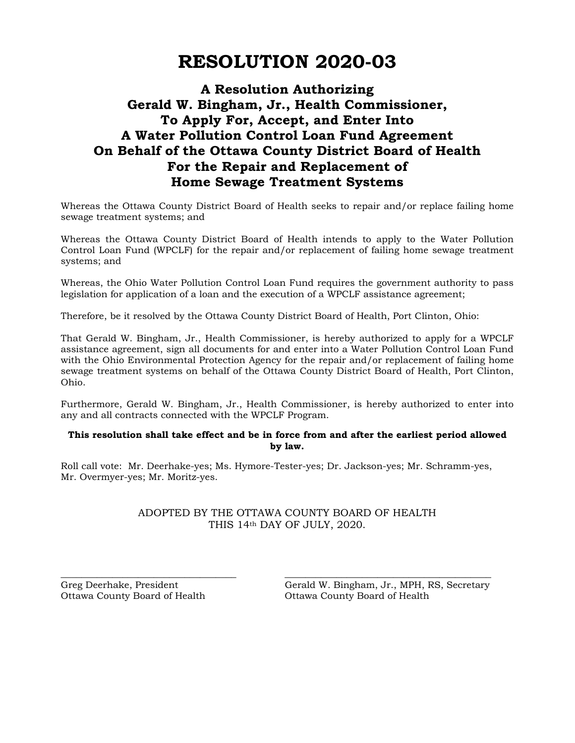# **RESOLUTION 2020-03**

## **A Resolution Authorizing Gerald W. Bingham, Jr., Health Commissioner, To Apply For, Accept, and Enter Into A Water Pollution Control Loan Fund Agreement On Behalf of the Ottawa County District Board of Health For the Repair and Replacement of Home Sewage Treatment Systems**

Whereas the Ottawa County District Board of Health seeks to repair and/or replace failing home sewage treatment systems; and

Whereas the Ottawa County District Board of Health intends to apply to the Water Pollution Control Loan Fund (WPCLF) for the repair and/or replacement of failing home sewage treatment systems; and

Whereas, the Ohio Water Pollution Control Loan Fund requires the government authority to pass legislation for application of a loan and the execution of a WPCLF assistance agreement;

Therefore, be it resolved by the Ottawa County District Board of Health, Port Clinton, Ohio:

That Gerald W. Bingham, Jr., Health Commissioner, is hereby authorized to apply for a WPCLF assistance agreement, sign all documents for and enter into a Water Pollution Control Loan Fund with the Ohio Environmental Protection Agency for the repair and/or replacement of failing home sewage treatment systems on behalf of the Ottawa County District Board of Health, Port Clinton, Ohio.

Furthermore, Gerald W. Bingham, Jr., Health Commissioner, is hereby authorized to enter into any and all contracts connected with the WPCLF Program.

#### **This resolution shall take effect and be in force from and after the earliest period allowed by law.**

Roll call vote: Mr. Deerhake-yes; Ms. Hymore-Tester-yes; Dr. Jackson-yes; Mr. Schramm-yes, Mr. Overmyer-yes; Mr. Moritz-yes.

\_\_\_\_\_\_\_\_\_\_\_\_\_\_\_\_\_\_\_\_\_\_\_\_\_\_\_\_\_\_\_\_\_\_ \_\_\_\_\_\_\_\_\_\_\_\_\_\_\_\_\_\_\_\_\_\_\_\_\_\_\_\_\_\_\_\_\_\_\_\_\_\_\_\_

#### ADOPTED BY THE OTTAWA COUNTY BOARD OF HEALTH THIS 14th DAY OF JULY, 2020.

Greg Deerhake, President Gerald W. Bingham, Jr., MPH, RS, Secretary Ottawa County Board of Health Ottawa County Board of Health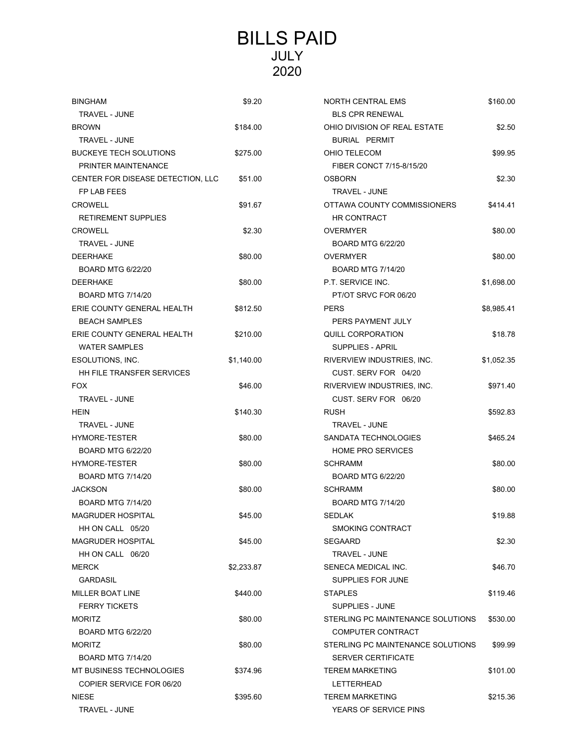# BILLS PAID JULY 2020

| <b>BINGHAM</b>                    | \$9.20     | NORTH CENTRAL EMS                 | \$160.00   |  |
|-----------------------------------|------------|-----------------------------------|------------|--|
| <b>TRAVEL - JUNE</b>              |            | <b>BLS CPR RENEWAL</b>            |            |  |
| <b>BROWN</b>                      | \$184.00   | OHIO DIVISION OF REAL ESTATE      | \$2.50     |  |
| <b>TRAVEL - JUNE</b>              |            | <b>BURIAL PERMIT</b>              |            |  |
| <b>BUCKEYE TECH SOLUTIONS</b>     | \$275.00   | OHIO TELECOM                      | \$99.95    |  |
| PRINTER MAINTENANCE               |            | FIBER CONCT 7/15-8/15/20          |            |  |
| CENTER FOR DISEASE DETECTION, LLC | \$51.00    | <b>OSBORN</b>                     | \$2.30     |  |
| FP LAB FEES                       |            | TRAVEL - JUNE                     |            |  |
| CROWELL                           | \$91.67    | OTTAWA COUNTY COMMISSIONERS       | \$414.41   |  |
| <b>RETIREMENT SUPPLIES</b>        |            | <b>HR CONTRACT</b>                |            |  |
| <b>CROWELL</b>                    | \$2.30     | <b>OVERMYER</b>                   | \$80.00    |  |
| <b>TRAVEL - JUNE</b>              |            | <b>BOARD MTG 6/22/20</b>          |            |  |
| <b>DEERHAKE</b>                   | \$80.00    | <b>OVERMYER</b>                   | \$80.00    |  |
| <b>BOARD MTG 6/22/20</b>          |            | <b>BOARD MTG 7/14/20</b>          |            |  |
| <b>DEERHAKE</b>                   | \$80.00    | P.T. SERVICE INC.                 | \$1,698.00 |  |
| <b>BOARD MTG 7/14/20</b>          |            | PT/OT SRVC FOR 06/20              |            |  |
| ERIE COUNTY GENERAL HEALTH        | \$812.50   | <b>PERS</b>                       | \$8,985.41 |  |
| <b>BEACH SAMPLES</b>              |            | PERS PAYMENT JULY                 |            |  |
| ERIE COUNTY GENERAL HEALTH        | \$210.00   | QUILL CORPORATION                 | \$18.78    |  |
| <b>WATER SAMPLES</b>              |            | <b>SUPPLIES - APRIL</b>           |            |  |
| ESOLUTIONS, INC.                  | \$1,140.00 | RIVERVIEW INDUSTRIES, INC.        | \$1,052.35 |  |
| HH FILE TRANSFER SERVICES         |            | CUST. SERV FOR 04/20              |            |  |
| <b>FOX</b>                        | \$46.00    | RIVERVIEW INDUSTRIES, INC.        | \$971.40   |  |
| <b>TRAVEL - JUNE</b>              |            | CUST. SERV FOR 06/20              |            |  |
| HEIN                              | \$140.30   | <b>RUSH</b>                       | \$592.83   |  |
| TRAVEL - JUNE                     |            | TRAVEL - JUNE                     |            |  |
| <b>HYMORE-TESTER</b>              | \$80.00    | SANDATA TECHNOLOGIES              | \$465.24   |  |
| <b>BOARD MTG 6/22/20</b>          |            | <b>HOME PRO SERVICES</b>          |            |  |
| <b>HYMORE-TESTER</b>              | \$80.00    | <b>SCHRAMM</b>                    | \$80.00    |  |
| <b>BOARD MTG 7/14/20</b>          |            | <b>BOARD MTG 6/22/20</b>          |            |  |
| <b>JACKSON</b>                    | \$80.00    | <b>SCHRAMM</b>                    | \$80.00    |  |
| <b>BOARD MTG 7/14/20</b>          |            | <b>BOARD MTG 7/14/20</b>          |            |  |
| MAGRUDER HOSPITAL                 | \$45.00    | SEDLAK                            | \$19.88    |  |
| HH ON CALL 05/20                  |            | SMOKING CONTRACT                  |            |  |
| <b>MAGRUDER HOSPITAL</b>          | \$45.00    | <b>SEGAARD</b>                    | \$2.30     |  |
| HH ON CALL 06/20                  |            | <b>TRAVEL - JUNE</b>              |            |  |
| <b>MERCK</b>                      | \$2,233.87 | SENECA MEDICAL INC.               | \$46.70    |  |
| <b>GARDASIL</b>                   |            | SUPPLIES FOR JUNE                 |            |  |
| <b>MILLER BOAT LINE</b>           | \$440.00   | <b>STAPLES</b>                    | \$119.46   |  |
| <b>FERRY TICKETS</b>              |            | SUPPLIES - JUNE                   |            |  |
| <b>MORITZ</b>                     | \$80.00    | STERLING PC MAINTENANCE SOLUTIONS | \$530.00   |  |
| <b>BOARD MTG 6/22/20</b>          |            | <b>COMPUTER CONTRACT</b>          |            |  |
| <b>MORITZ</b>                     | \$80.00    | STERLING PC MAINTENANCE SOLUTIONS | \$99.99    |  |
| <b>BOARD MTG 7/14/20</b>          |            | <b>SERVER CERTIFICATE</b>         |            |  |
| MT BUSINESS TECHNOLOGIES          | \$374.96   | <b>TEREM MARKETING</b>            | \$101.00   |  |
| COPIER SERVICE FOR 06/20          |            | LETTERHEAD                        |            |  |
| <b>NIESE</b>                      | \$395.60   | <b>TEREM MARKETING</b>            | \$215.36   |  |
| <b>TRAVEL - JUNE</b>              |            | YEARS OF SERVICE PINS             |            |  |
|                                   |            |                                   |            |  |